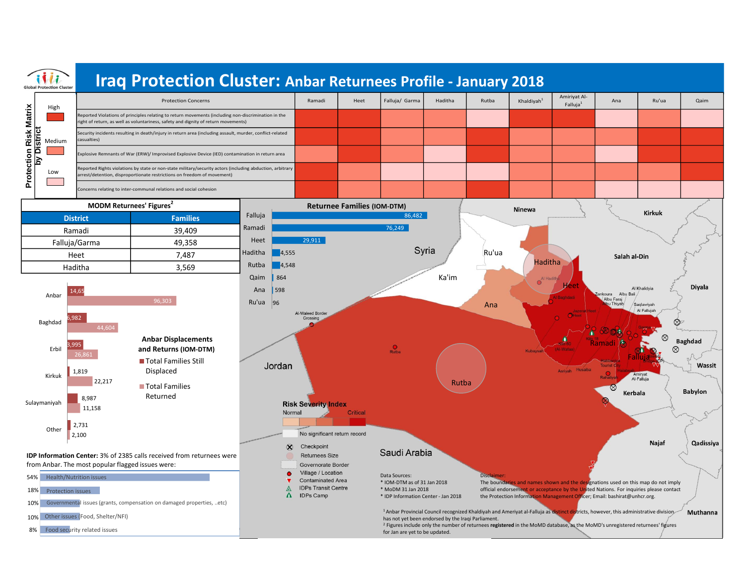

\* IOM-DTM as of 31 Jan 2018 \* MoDM 31 Jan 2018

**Contaminated Area** 

**IDPs Transit Centre IDPs Camp** 

 $\Delta$ 

 $\Lambda$ 

\* IDP Information Center - Jan 2018

for Jan are yet to be updated.

has not yet been endorsed by the Iraqi Parliament.

The boundaries and names shown and the designations used on this map do not imply official endorsement or acceptance by the United Nations. For inquiries please contact the Protection Information Management Officer; Email: bashirat@unhcr.org.

Muthanna

1 Anbar Provincial Council recognized Khaldiyah and Ameriyat al-Falluja as distinct districts, however, this administrative division

<sup>2</sup> Figures include only the number of returnees **registered** in the MoMD database, as the MoMD's unregistered returnees' figures

18% Protection issues 54% Health/Nutrition issues



- 10% Other issues (Food, Shelter/NFI)
- 8% Food security related issues